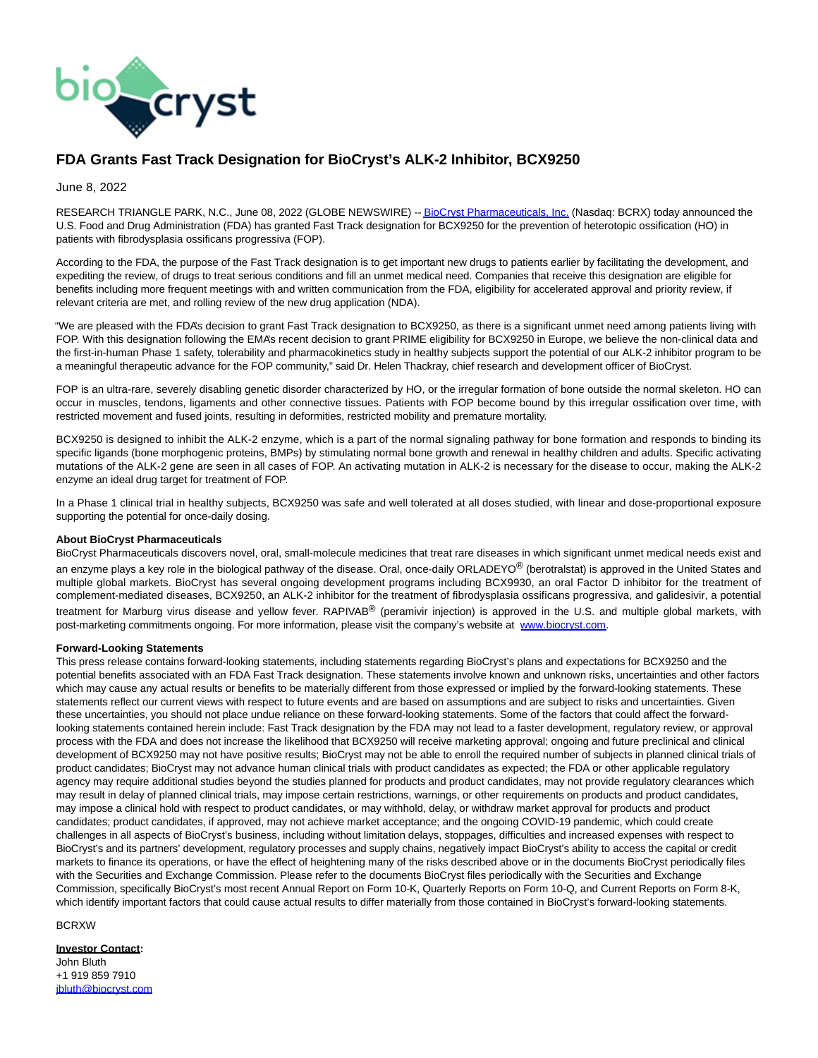

## **FDA Grants Fast Track Designation for BioCryst's ALK-2 Inhibitor, BCX9250**

June 8, 2022

RESEARCH TRIANGLE PARK, N.C., June 08, 2022 (GLOBE NEWSWIRE) -[- BioCryst Pharmaceuticals, Inc. \(](https://www.globenewswire.com/Tracker?data=5ZYQfBHL7nf1FH8Y9gF7WBRrRhVsTMMFudBApo0_6l2Qvk-Iw1f00FABjB-PPy6i4dwUTPuT6eWZxJZ2XPz3-DKHZqowmK1yG1CVAmo7Q4s=)Nasdaq: BCRX) today announced the U.S. Food and Drug Administration (FDA) has granted Fast Track designation for BCX9250 for the prevention of heterotopic ossification (HO) in patients with fibrodysplasia ossificans progressiva (FOP).

According to the FDA, the purpose of the Fast Track designation is to get important new drugs to patients earlier by facilitating the development, and expediting the review, of drugs to treat serious conditions and fill an unmet medical need. Companies that receive this designation are eligible for benefits including more frequent meetings with and written communication from the FDA, eligibility for accelerated approval and priority review, if relevant criteria are met, and rolling review of the new drug application (NDA).

"We are pleased with the FDA's decision to grant Fast Track designation to BCX9250, as there is a significant unmet need among patients living with FOP. With this designation following the EMA's recent decision to grant PRIME eligibility for BCX9250 in Europe, we believe the non-clinical data and the first-in-human Phase 1 safety, tolerability and pharmacokinetics study in healthy subjects support the potential of our ALK-2 inhibitor program to be a meaningful therapeutic advance for the FOP community," said Dr. Helen Thackray, chief research and development officer of BioCryst.

FOP is an ultra-rare, severely disabling genetic disorder characterized by HO, or the irregular formation of bone outside the normal skeleton. HO can occur in muscles, tendons, ligaments and other connective tissues. Patients with FOP become bound by this irregular ossification over time, with restricted movement and fused joints, resulting in deformities, restricted mobility and premature mortality.

BCX9250 is designed to inhibit the ALK-2 enzyme, which is a part of the normal signaling pathway for bone formation and responds to binding its specific ligands (bone morphogenic proteins, BMPs) by stimulating normal bone growth and renewal in healthy children and adults. Specific activating mutations of the ALK-2 gene are seen in all cases of FOP. An activating mutation in ALK-2 is necessary for the disease to occur, making the ALK-2 enzyme an ideal drug target for treatment of FOP.

In a Phase 1 clinical trial in healthy subjects, BCX9250 was safe and well tolerated at all doses studied, with linear and dose-proportional exposure supporting the potential for once-daily dosing.

## **About BioCryst Pharmaceuticals**

BioCryst Pharmaceuticals discovers novel, oral, small-molecule medicines that treat rare diseases in which significant unmet medical needs exist and an enzyme plays a key role in the biological pathway of the disease. Oral, once-daily ORLADEYO® (berotralstat) is approved in the United States and multiple global markets. BioCryst has several ongoing development programs including BCX9930, an oral Factor D inhibitor for the treatment of complement-mediated diseases, BCX9250, an ALK-2 inhibitor for the treatment of fibrodysplasia ossificans progressiva, and galidesivir, a potential treatment for Marburg virus disease and yellow fever. RAPIVAB<sup>®</sup> (peramivir injection) is approved in the U.S. and multiple global markets, with post-marketing commitments ongoing. For more information, please visit the company's website at [www.biocryst.com.](https://www.globenewswire.com/Tracker?data=XhrsMt6MKq8hdCwS_TsH7_ylCH6ypQ5H27I9Glpj51CsKZ5S-VPfK06K9rs9D-dyAppzsyR53otQcB2Zkd2k2A==)

## **Forward-Looking Statements**

This press release contains forward-looking statements, including statements regarding BioCryst's plans and expectations for BCX9250 and the potential benefits associated with an FDA Fast Track designation. These statements involve known and unknown risks, uncertainties and other factors which may cause any actual results or benefits to be materially different from those expressed or implied by the forward-looking statements. These statements reflect our current views with respect to future events and are based on assumptions and are subject to risks and uncertainties. Given these uncertainties, you should not place undue reliance on these forward-looking statements. Some of the factors that could affect the forwardlooking statements contained herein include: Fast Track designation by the FDA may not lead to a faster development, regulatory review, or approval process with the FDA and does not increase the likelihood that BCX9250 will receive marketing approval; ongoing and future preclinical and clinical development of BCX9250 may not have positive results; BioCryst may not be able to enroll the required number of subjects in planned clinical trials of product candidates; BioCryst may not advance human clinical trials with product candidates as expected; the FDA or other applicable regulatory agency may require additional studies beyond the studies planned for products and product candidates, may not provide regulatory clearances which may result in delay of planned clinical trials, may impose certain restrictions, warnings, or other requirements on products and product candidates, may impose a clinical hold with respect to product candidates, or may withhold, delay, or withdraw market approval for products and product candidates; product candidates, if approved, may not achieve market acceptance; and the ongoing COVID-19 pandemic, which could create challenges in all aspects of BioCryst's business, including without limitation delays, stoppages, difficulties and increased expenses with respect to BioCryst's and its partners' development, regulatory processes and supply chains, negatively impact BioCryst's ability to access the capital or credit markets to finance its operations, or have the effect of heightening many of the risks described above or in the documents BioCryst periodically files with the Securities and Exchange Commission. Please refer to the documents BioCryst files periodically with the Securities and Exchange Commission, specifically BioCryst's most recent Annual Report on Form 10-K, Quarterly Reports on Form 10-Q, and Current Reports on Form 8-K, which identify important factors that could cause actual results to differ materially from those contained in BioCryst's forward-looking statements.

BCRXW

**Investor Contact:** John Bluth +1 919 859 7910 [jbluth@biocryst.com](https://www.globenewswire.com/Tracker?data=CNQEVyLIpxOiSEybkrJ0oZQWugeVMFawd0KAKMst6-TUKFfjoV2jzhyU5Q3-KePIcvcQGZx7TcmswP6GATGbqPXtpTSMWi5ay4i_zXfteh8=)